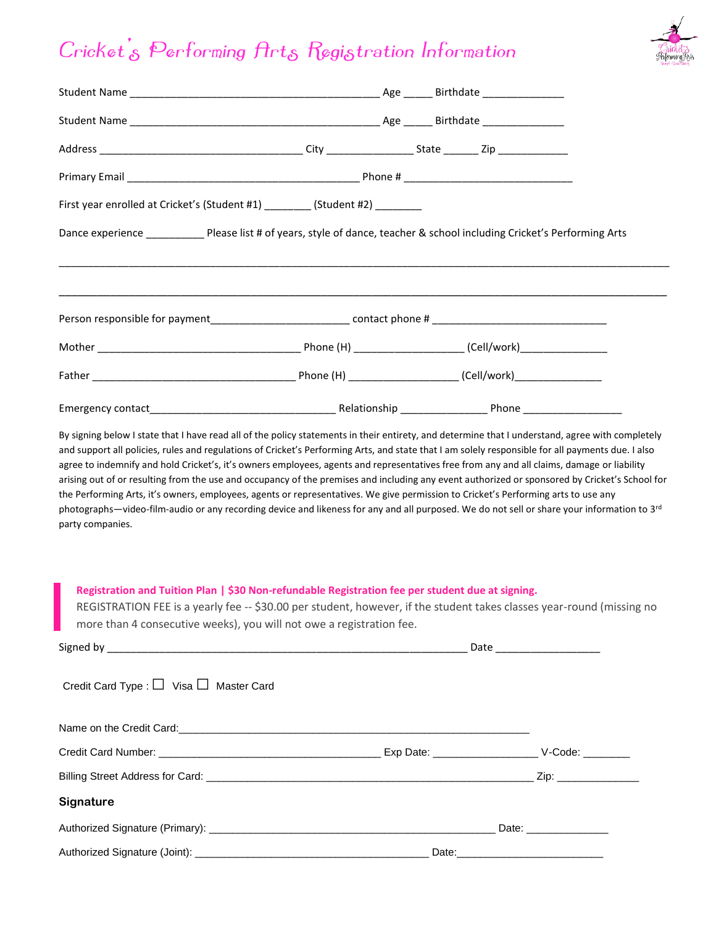## Cricket's Performing Arts Registration Information



| First year enrolled at Cricket's (Student #1) ________ (Student #2) ________                                                                                                                                                                                                                          |  |  |
|-------------------------------------------------------------------------------------------------------------------------------------------------------------------------------------------------------------------------------------------------------------------------------------------------------|--|--|
| Dance experience _____________ Please list # of years, style of dance, teacher & school including Cricket's Performing Arts                                                                                                                                                                           |  |  |
|                                                                                                                                                                                                                                                                                                       |  |  |
|                                                                                                                                                                                                                                                                                                       |  |  |
|                                                                                                                                                                                                                                                                                                       |  |  |
|                                                                                                                                                                                                                                                                                                       |  |  |
| the Performing Arts, it's owners, employees, agents or representatives. We give permission to Cricket's Performing arts to use any<br>photographs—video-film-audio or any recording device and likeness for any and all purposed. We do not sell or share your information to 3rd<br>party companies. |  |  |
| Registration and Tuition Plan   \$30 Non-refundable Registration fee per student due at signing.<br>REGISTRATION FEE is a yearly fee -- \$30.00 per student, however, if the student takes classes year-round (missing no<br>more than 4 consecutive weeks), you will not owe a registration fee.     |  |  |
|                                                                                                                                                                                                                                                                                                       |  |  |
| Credit Card Type : $\Box$ Visa $\Box$ Master Card                                                                                                                                                                                                                                                     |  |  |
|                                                                                                                                                                                                                                                                                                       |  |  |
|                                                                                                                                                                                                                                                                                                       |  |  |
|                                                                                                                                                                                                                                                                                                       |  |  |
| Signature                                                                                                                                                                                                                                                                                             |  |  |
|                                                                                                                                                                                                                                                                                                       |  |  |
|                                                                                                                                                                                                                                                                                                       |  |  |